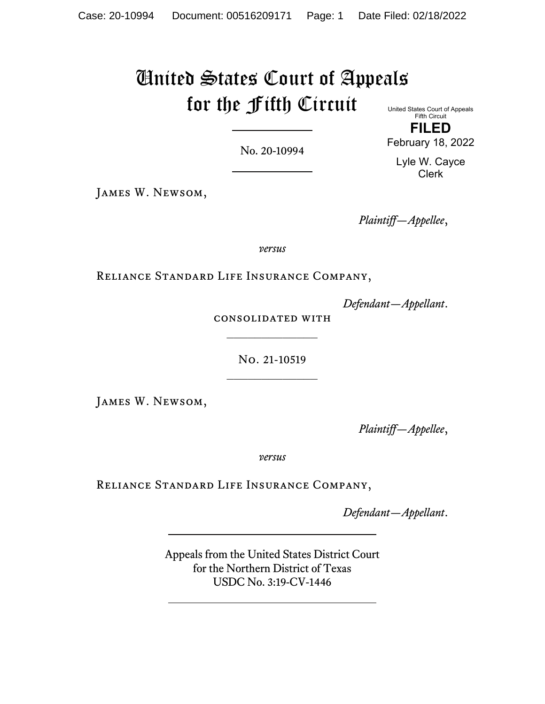# United States Court of Appeals for the Fifth Circuit United States Court of Appeals

No. 20-10994

Fifth Circuit **FILED**

February 18, 2022

Lyle W. Cayce Clerk

James W. Newsom,

*Plaintiff—Appellee*,

*versus*

Reliance Standard Life Insurance Company,

*Defendant—Appellant*.

consolidated with  $\frac{1}{2}$ 

> No. 21-10519  $\frac{1}{2}$

James W. Newsom,

*Plaintiff—Appellee*,

*versus*

Reliance Standard Life Insurance Company,

*Defendant—Appellant*.

Appeals from the United States District Court for the Northern District of Texas USDC No. 3:19-CV-1446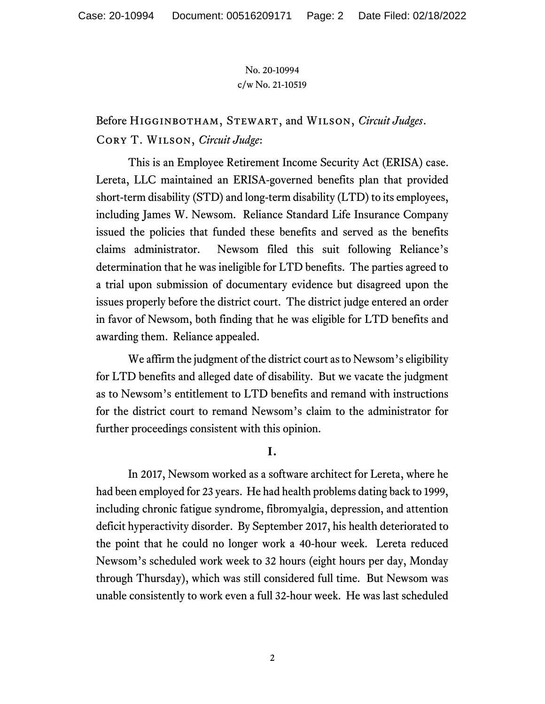# Before Higginbotham, Stewart, and Wilson, *Circuit Judges*. Cory T. Wilson, *Circuit Judge*:

This is an Employee Retirement Income Security Act (ERISA) case. Lereta, LLC maintained an ERISA-governed benefits plan that provided short-term disability (STD) and long-term disability (LTD) to its employees, including James W. Newsom. Reliance Standard Life Insurance Company issued the policies that funded these benefits and served as the benefits claims administrator. Newsom filed this suit following Reliance's determination that he was ineligible for LTD benefits. The parties agreed to a trial upon submission of documentary evidence but disagreed upon the issues properly before the district court. The district judge entered an order in favor of Newsom, both finding that he was eligible for LTD benefits and awarding them. Reliance appealed.

We affirm the judgment of the district court as to Newsom's eligibility for LTD benefits and alleged date of disability. But we vacate the judgment as to Newsom's entitlement to LTD benefits and remand with instructions for the district court to remand Newsom's claim to the administrator for further proceedings consistent with this opinion.

### **I.**

In 2017, Newsom worked as a software architect for Lereta, where he had been employed for 23 years. He had health problems dating back to 1999, including chronic fatigue syndrome, fibromyalgia, depression, and attention deficit hyperactivity disorder. By September 2017, his health deteriorated to the point that he could no longer work a 40-hour week. Lereta reduced Newsom's scheduled work week to 32 hours (eight hours per day, Monday through Thursday), which was still considered full time. But Newsom was unable consistently to work even a full 32-hour week. He was last scheduled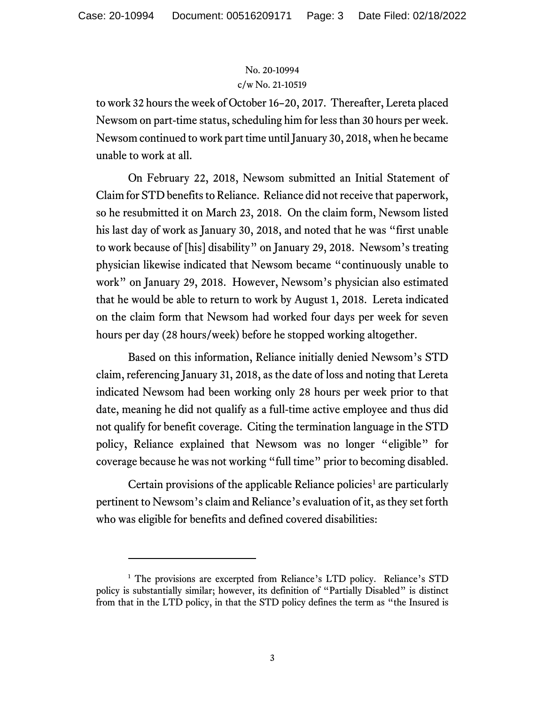to work 32 hours the week of October 16–20, 2017. Thereafter, Lereta placed Newsom on part-time status, scheduling him for less than 30 hours per week. Newsom continued to work part time until January 30, 2018, when he became unable to work at all.

On February 22, 2018, Newsom submitted an Initial Statement of Claim for STD benefits to Reliance. Reliance did not receive that paperwork, so he resubmitted it on March 23, 2018. On the claim form, Newsom listed his last day of work as January 30, 2018, and noted that he was "first unable to work because of [his] disability" on January 29, 2018. Newsom's treating physician likewise indicated that Newsom became "continuously unable to work" on January 29, 2018. However, Newsom's physician also estimated that he would be able to return to work by August 1, 2018. Lereta indicated on the claim form that Newsom had worked four days per week for seven hours per day (28 hours/week) before he stopped working altogether.

Based on this information, Reliance initially denied Newsom's STD claim, referencing January 31, 2018, as the date of loss and noting that Lereta indicated Newsom had been working only 28 hours per week prior to that date, meaning he did not qualify as a full-time active employee and thus did not qualify for benefit coverage. Citing the termination language in the STD policy, Reliance explained that Newsom was no longer "eligible" for coverage because he was not working "full time" prior to becoming disabled.

Certain provisions of the applicable Reliance policies<sup>[1](#page-2-0)</sup> are particularly pertinent to Newsom's claim and Reliance's evaluation of it, as they set forth who was eligible for benefits and defined covered disabilities:

<span id="page-2-0"></span><sup>&</sup>lt;sup>1</sup> The provisions are excerpted from Reliance's LTD policy. Reliance's STD policy is substantially similar; however, its definition of "Partially Disabled" is distinct from that in the LTD policy, in that the STD policy defines the term as "the Insured is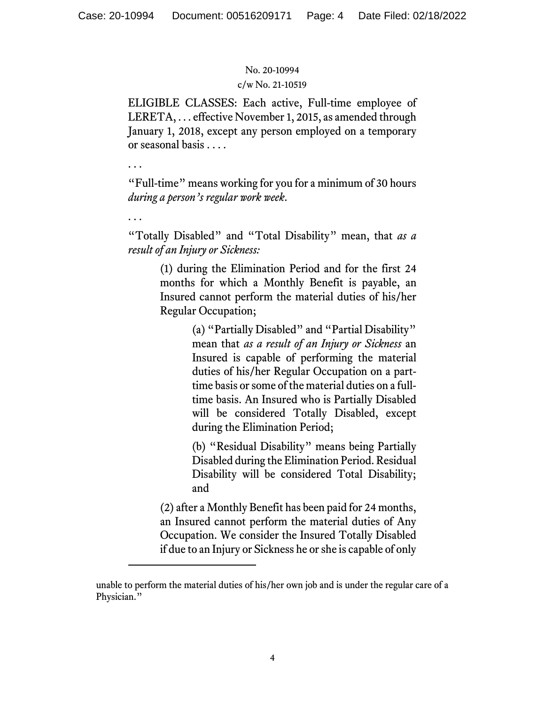. . .

. . .

#### No. 20-10994

#### c/w No. 21-10519

ELIGIBLE CLASSES: Each active, Full-time employee of LERETA, . . . effective November 1, 2015, as amended through January 1, 2018, except any person employed on a temporary or seasonal basis . . . .

"Full-time" means working for you for a minimum of 30 hours *during a person's regular work week*.

"Totally Disabled" and "Total Disability" mean, that *as a result of an Injury or Sickness:*

> (1) during the Elimination Period and for the first 24 months for which a Monthly Benefit is payable, an Insured cannot perform the material duties of his/her Regular Occupation;

> > (a) "Partially Disabled" and "Partial Disability" mean that *as a result of an Injury or Sickness* an Insured is capable of performing the material duties of his/her Regular Occupation on a parttime basis or some of the material duties on a fulltime basis. An Insured who is Partially Disabled will be considered Totally Disabled, except during the Elimination Period;

> > (b) "Residual Disability" means being Partially Disabled during the Elimination Period. Residual Disability will be considered Total Disability; and

(2) after a Monthly Benefit has been paid for 24 months, an Insured cannot perform the material duties of Any Occupation. We consider the Insured Totally Disabled if due to an Injury or Sickness he or she is capable of only

unable to perform the material duties of his/her own job and is under the regular care of a Physician."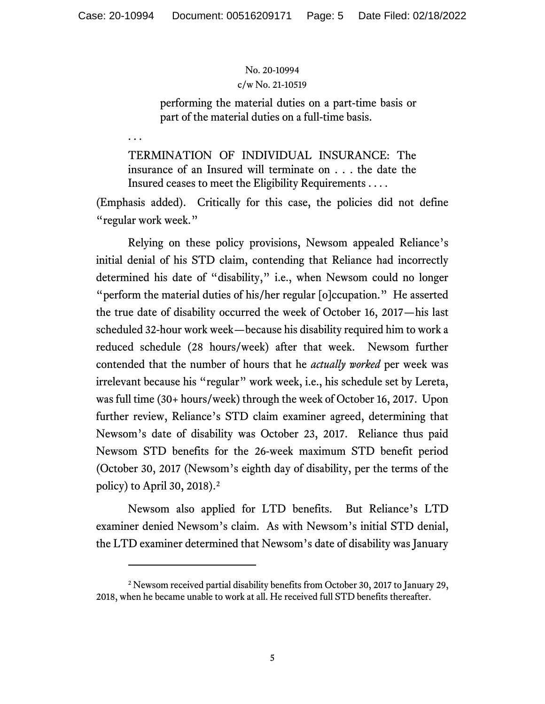. . .

#### No. 20-10994

#### c/w No. 21-10519

performing the material duties on a part-time basis or part of the material duties on a full-time basis.

TERMINATION OF INDIVIDUAL INSURANCE: The insurance of an Insured will terminate on . . . the date the Insured ceases to meet the Eligibility Requirements . . . .

(Emphasis added). Critically for this case, the policies did not define "regular work week."

Relying on these policy provisions, Newsom appealed Reliance's initial denial of his STD claim, contending that Reliance had incorrectly determined his date of "disability," i.e., when Newsom could no longer "perform the material duties of his/her regular [o]ccupation." He asserted the true date of disability occurred the week of October 16, 2017—his last scheduled 32-hour work week—because his disability required him to work a reduced schedule (28 hours/week) after that week. Newsom further contended that the number of hours that he *actually worked* per week was irrelevant because his "regular" work week, i.e., his schedule set by Lereta, was full time (30+ hours/week) through the week of October 16, 2017. Upon further review, Reliance's STD claim examiner agreed, determining that Newsom's date of disability was October 23, 2017. Reliance thus paid Newsom STD benefits for the 26-week maximum STD benefit period (October 30, 2017 (Newsom's eighth day of disability, per the terms of the policy) to April 30, 2018). [2](#page-4-0)

Newsom also applied for LTD benefits. But Reliance's LTD examiner denied Newsom's claim. As with Newsom's initial STD denial, the LTD examiner determined that Newsom's date of disability was January

<span id="page-4-0"></span><sup>2</sup> Newsom received partial disability benefits from October 30, 2017 to January 29, 2018, when he became unable to work at all. He received full STD benefits thereafter.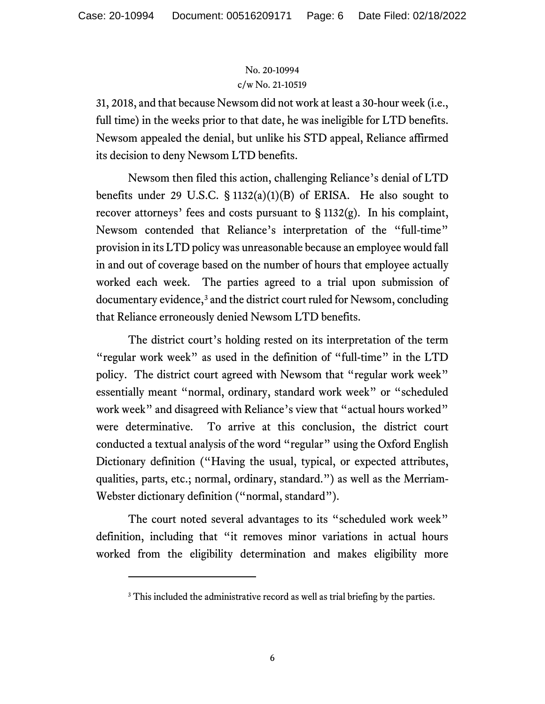31, 2018, and that because Newsom did not work at least a 30-hour week (i.e., full time) in the weeks prior to that date, he was ineligible for LTD benefits. Newsom appealed the denial, but unlike his STD appeal, Reliance affirmed its decision to deny Newsom LTD benefits.

Newsom then filed this action, challenging Reliance's denial of LTD benefits under 29 U.S.C.  $\S$  1132(a)(1)(B) of ERISA. He also sought to recover attorneys' fees and costs pursuant to  $\S 1132(g)$ . In his complaint, Newsom contended that Reliance's interpretation of the "full-time" provision in its LTD policy was unreasonable because an employee would fall in and out of coverage based on the number of hours that employee actually worked each week. The parties agreed to a trial upon submission of documentary evidence,<sup>[3](#page-5-0)</sup> and the district court ruled for Newsom, concluding that Reliance erroneously denied Newsom LTD benefits.

The district court's holding rested on its interpretation of the term "regular work week" as used in the definition of "full-time" in the LTD policy. The district court agreed with Newsom that "regular work week" essentially meant "normal, ordinary, standard work week" or "scheduled work week" and disagreed with Reliance's view that "actual hours worked" were determinative. To arrive at this conclusion, the district court conducted a textual analysis of the word "regular" using the Oxford English Dictionary definition ("Having the usual, typical, or expected attributes, qualities, parts, etc.; normal, ordinary, standard.") as well as the Merriam-Webster dictionary definition ("normal, standard").

<span id="page-5-0"></span>The court noted several advantages to its "scheduled work week" definition, including that "it removes minor variations in actual hours worked from the eligibility determination and makes eligibility more

<sup>&</sup>lt;sup>3</sup> This included the administrative record as well as trial briefing by the parties.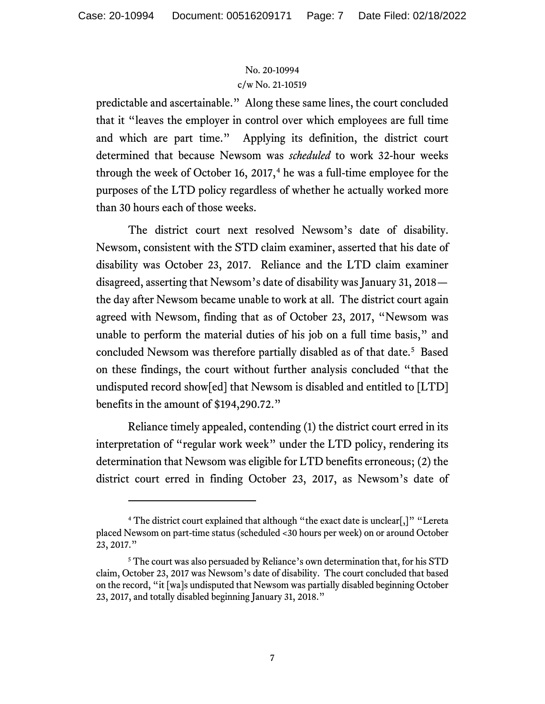predictable and ascertainable." Along these same lines, the court concluded that it "leaves the employer in control over which employees are full time and which are part time." Applying its definition, the district court determined that because Newsom was *scheduled* to work 32-hour weeks through the week of October 16, 2017,<sup>[4](#page-6-0)</sup> he was a full-time employee for the purposes of the LTD policy regardless of whether he actually worked more than 30 hours each of those weeks.

The district court next resolved Newsom's date of disability. Newsom, consistent with the STD claim examiner, asserted that his date of disability was October 23, 2017. Reliance and the LTD claim examiner disagreed, asserting that Newsom's date of disability was January 31, 2018 the day after Newsom became unable to work at all. The district court again agreed with Newsom, finding that as of October 23, 2017, "Newsom was unable to perform the material duties of his job on a full time basis," and concluded Newsom was therefore partially disabled as of that date.<sup>[5](#page-6-1)</sup> Based on these findings, the court without further analysis concluded "that the undisputed record show[ed] that Newsom is disabled and entitled to [LTD] benefits in the amount of \$194,290.72."

Reliance timely appealed, contending (1) the district court erred in its interpretation of "regular work week" under the LTD policy, rendering its determination that Newsom was eligible for LTD benefits erroneous; (2) the district court erred in finding October 23, 2017, as Newsom's date of

<span id="page-6-0"></span><sup>&</sup>lt;sup>4</sup> The district court explained that although "the exact date is unclear[,]" "Lereta placed Newsom on part-time status (scheduled <30 hours per week) on or around October 23, 2017."

<span id="page-6-1"></span><sup>&</sup>lt;sup>5</sup> The court was also persuaded by Reliance's own determination that, for his STD claim, October 23, 2017 was Newsom's date of disability. The court concluded that based on the record, "it [wa]s undisputed that Newsom was partially disabled beginning October 23, 2017, and totally disabled beginning January 31, 2018."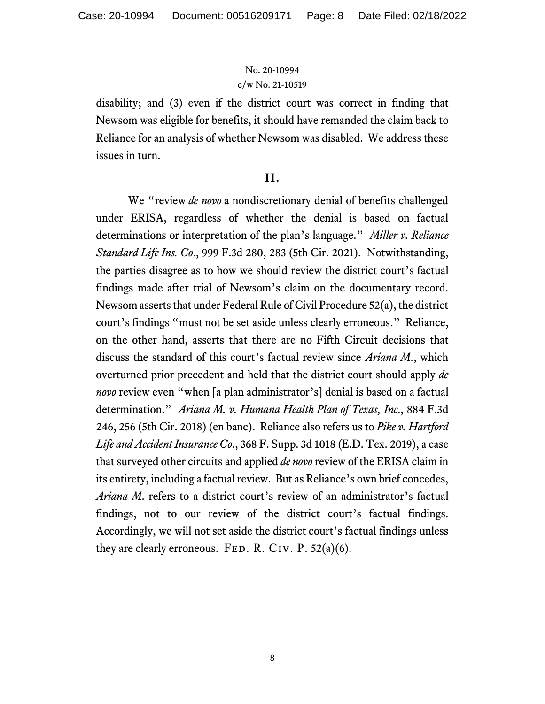disability; and (3) even if the district court was correct in finding that Newsom was eligible for benefits, it should have remanded the claim back to Reliance for an analysis of whether Newsom was disabled. We address these issues in turn.

### **II.**

We "review *de novo* a nondiscretionary denial of benefits challenged under ERISA, regardless of whether the denial is based on factual determinations or interpretation of the plan's language." *Miller v. Reliance Standard Life Ins. Co*., 999 F.3d 280, 283 (5th Cir. 2021). Notwithstanding, the parties disagree as to how we should review the district court's factual findings made after trial of Newsom's claim on the documentary record. Newsom asserts that under Federal Rule of Civil Procedure 52(a), the district court's findings "must not be set aside unless clearly erroneous." Reliance, on the other hand, asserts that there are no Fifth Circuit decisions that discuss the standard of this court's factual review since *Ariana M*., which overturned prior precedent and held that the district court should apply *de novo* review even "when [a plan administrator's] denial is based on a factual determination." *Ariana M. v. Humana Health Plan of Texas, Inc*., 884 F.3d 246, 256 (5th Cir. 2018) (en banc). Reliance also refers us to *Pike v. Hartford Life and Accident Insurance Co*., 368 F. Supp. 3d 1018 (E.D. Tex. 2019), a case that surveyed other circuits and applied *de novo* review of the ERISA claim in its entirety, including a factual review.But as Reliance's own brief concedes, *Ariana M*. refers to a district court's review of an administrator's factual findings, not to our review of the district court's factual findings. Accordingly, we will not set aside the district court's factual findings unless they are clearly erroneous. FED. R. CIV. P.  $52(a)(6)$ .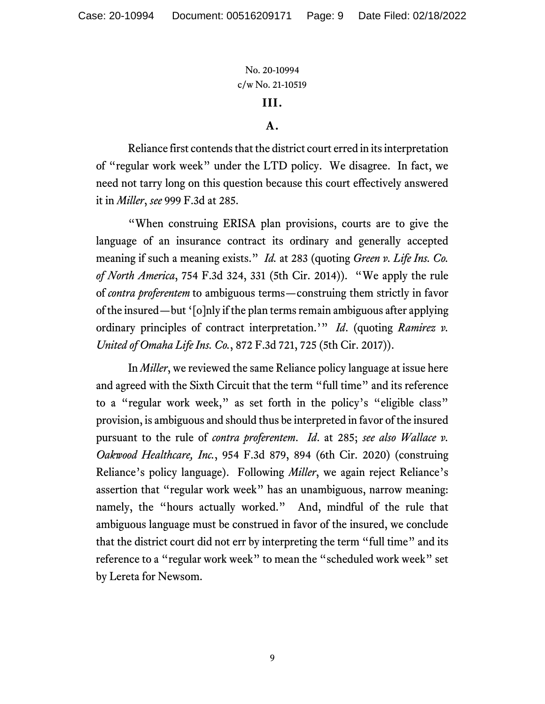# **III.**

### **A.**

Reliance first contends that the district court erred in its interpretation of "regular work week" under the LTD policy. We disagree. In fact, we need not tarry long on this question because this court effectively answered it in *Miller*, *see* 999 F.3d at 285.

"When construing ERISA plan provisions, courts are to give the language of an insurance contract its ordinary and generally accepted meaning if such a meaning exists." *Id.* at 283 (quoting *Green v. Life Ins. Co. of North America*, 754 F.3d 324, 331 (5th Cir. 2014)). "We apply the rule of *contra proferentem* to ambiguous terms—construing them strictly in favor of the insured—but '[o]nly if the plan terms remain ambiguous after applying ordinary principles of contract interpretation.'" *Id*. (quoting *Ramirez v. United of Omaha Life Ins. Co.*, 872 F.3d 721, 725 (5th Cir. 2017)).

In *Miller*, we reviewed the same Reliance policy language at issue here and agreed with the Sixth Circuit that the term "full time" and its reference to a "regular work week," as set forth in the policy's "eligible class" provision, is ambiguous and should thus be interpreted in favor of the insured pursuant to the rule of *contra proferentem*. *Id*. at 285; *see also Wallace v. Oakwood Healthcare, Inc.*, 954 F.3d 879, 894 (6th Cir. 2020) (construing Reliance's policy language). Following *Miller*, we again reject Reliance's assertion that "regular work week" has an unambiguous, narrow meaning: namely, the "hours actually worked." And, mindful of the rule that ambiguous language must be construed in favor of the insured, we conclude that the district court did not err by interpreting the term "full time" and its reference to a "regular work week" to mean the "scheduled work week" set by Lereta for Newsom.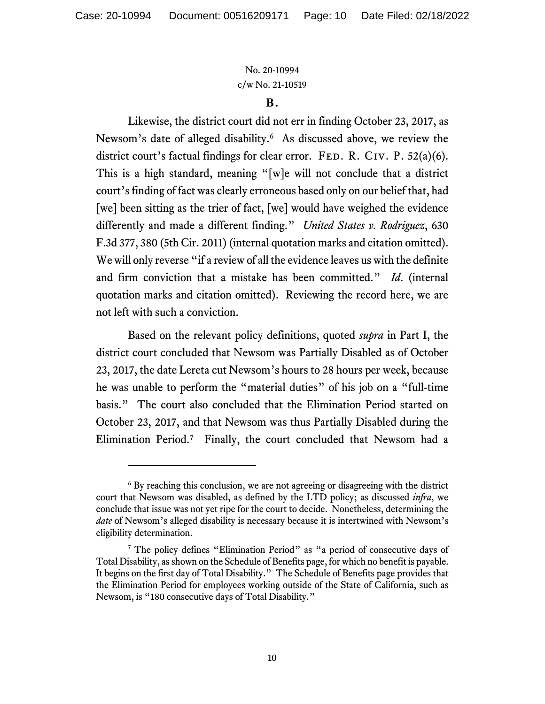#### **B.**

Likewise, the district court did not err in finding October 23, 2017, as Newsom's date of alleged disability. [6](#page-9-0) As discussed above, we review the district court's factual findings for clear error. FED. R. CIV. P.  $52(a)(6)$ . This is a high standard, meaning "[w]e will not conclude that a district court's finding of fact was clearly erroneous based only on our belief that, had [we] been sitting as the trier of fact, [we] would have weighed the evidence differently and made a different finding." *United States v. Rodriguez*, 630 F.3d 377, 380 (5th Cir. 2011) (internal quotation marks and citation omitted). We will only reverse "if a review of all the evidence leaves us with the definite and firm conviction that a mistake has been committed." *Id*. (internal quotation marks and citation omitted). Reviewing the record here, we are not left with such a conviction.

Based on the relevant policy definitions, quoted *supra* in Part I, the district court concluded that Newsom was Partially Disabled as of October 23, 2017, the date Lereta cut Newsom's hours to 28 hours per week, because he was unable to perform the "material duties" of his job on a "full-time basis." The court also concluded that the Elimination Period started on October 23, 2017, and that Newsom was thus Partially Disabled during the Elimination Period.<sup>[7](#page-9-1)</sup> Finally, the court concluded that Newsom had a

<span id="page-9-0"></span><sup>&</sup>lt;sup>6</sup> By reaching this conclusion, we are not agreeing or disagreeing with the district court that Newsom was disabled, as defined by the LTD policy; as discussed *infra*, we conclude that issue was not yet ripe for the court to decide. Nonetheless, determining the *date* of Newsom's alleged disability is necessary because it is intertwined with Newsom's eligibility determination.

<span id="page-9-1"></span><sup>7</sup> The policy defines "Elimination Period" as "a period of consecutive days of Total Disability, as shown on the Schedule of Benefits page, for which no benefit is payable. It begins on the first day of Total Disability." The Schedule of Benefits page provides that the Elimination Period for employees working outside of the State of California, such as Newsom, is "180 consecutive days of Total Disability."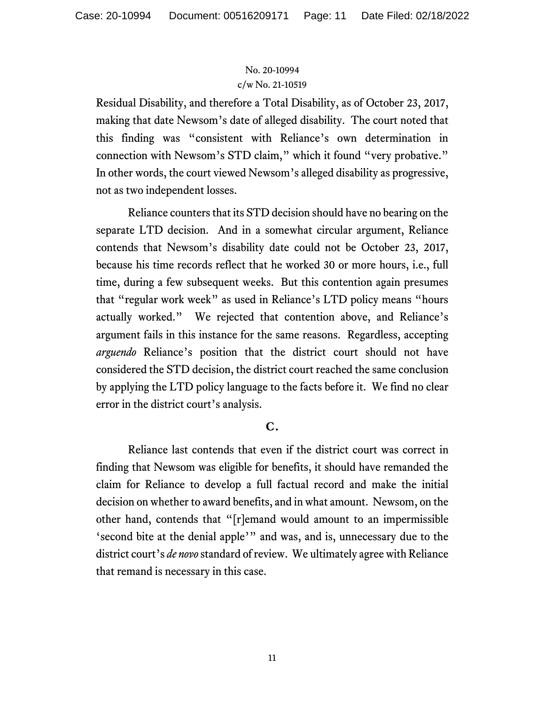Residual Disability, and therefore a Total Disability, as of October 23, 2017, making that date Newsom's date of alleged disability. The court noted that this finding was "consistent with Reliance's own determination in connection with Newsom's STD claim," which it found "very probative." In other words, the court viewed Newsom's alleged disability as progressive, not as two independent losses.

Reliance counters that its STD decision should have no bearing on the separate LTD decision. And in a somewhat circular argument, Reliance contends that Newsom's disability date could not be October 23, 2017, because his time records reflect that he worked 30 or more hours, i.e., full time, during a few subsequent weeks. But this contention again presumes that "regular work week" as used in Reliance's LTD policy means "hours actually worked." We rejected that contention above, and Reliance's argument fails in this instance for the same reasons. Regardless, accepting *arguendo* Reliance's position that the district court should not have considered the STD decision, the district court reached the same conclusion by applying the LTD policy language to the facts before it. We find no clear error in the district court's analysis.

### **C.**

Reliance last contends that even if the district court was correct in finding that Newsom was eligible for benefits, it should have remanded the claim for Reliance to develop a full factual record and make the initial decision on whether to award benefits, and in what amount. Newsom, on the other hand, contends that "[r]emand would amount to an impermissible 'second bite at the denial apple'" and was, and is, unnecessary due to the district court's *de novo*standard of review. We ultimately agree with Reliance that remand is necessary in this case.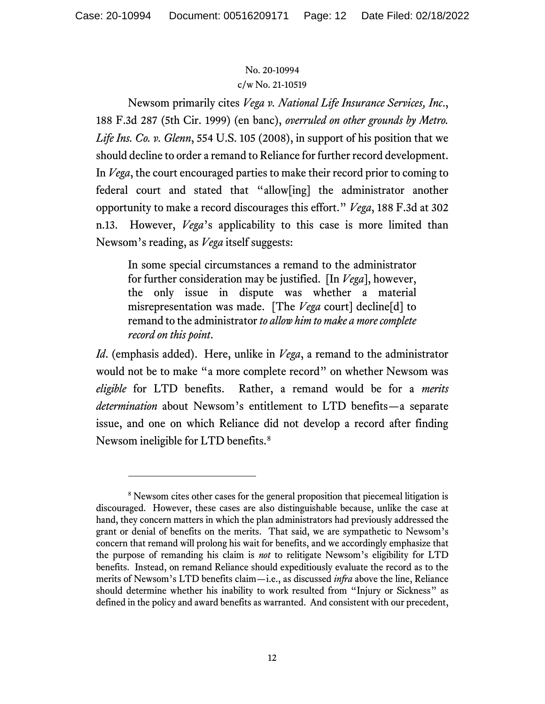Newsom primarily cites *Vega v. National Life Insurance Services, Inc*., 188 F.3d 287 (5th Cir. 1999) (en banc), *overruled on other grounds by Metro. Life Ins. Co. v. Glenn*, 554 U.S. 105 (2008), in support of his position that we should decline to order a remand to Reliance for further record development. In *Vega*, the court encouraged parties to make their record prior to coming to federal court and stated that "allow[ing] the administrator another opportunity to make a record discourages this effort." *Vega*, 188 F.3d at 302 n.13. However, *Vega*'s applicability to this case is more limited than Newsom's reading, as *Vega* itself suggests:

In some special circumstances a remand to the administrator for further consideration may be justified. [In *Vega*], however, the only issue in dispute was whether a material misrepresentation was made. [The *Vega* court] decline[d] to remand to the administrator *to allow him to make a more complete record on this point*.

*Id*. (emphasis added). Here, unlike in *Vega*, a remand to the administrator would not be to make "a more complete record" on whether Newsom was *eligible* for LTD benefits. Rather, a remand would be for a *merits determination* about Newsom's entitlement to LTD benefits—a separate issue, and one on which Reliance did not develop a record after finding Newsom ineligible for LTD benefits.<sup>[8](#page-11-0)</sup>

<span id="page-11-0"></span><sup>&</sup>lt;sup>8</sup> Newsom cites other cases for the general proposition that piecemeal litigation is discouraged. However, these cases are also distinguishable because, unlike the case at hand, they concern matters in which the plan administrators had previously addressed the grant or denial of benefits on the merits. That said, we are sympathetic to Newsom's concern that remand will prolong his wait for benefits, and we accordingly emphasize that the purpose of remanding his claim is *not* to relitigate Newsom's eligibility for LTD benefits. Instead, on remand Reliance should expeditiously evaluate the record as to the merits of Newsom's LTD benefits claim—i.e., as discussed *infra* above the line, Reliance should determine whether his inability to work resulted from "Injury or Sickness" as defined in the policy and award benefits as warranted. And consistent with our precedent,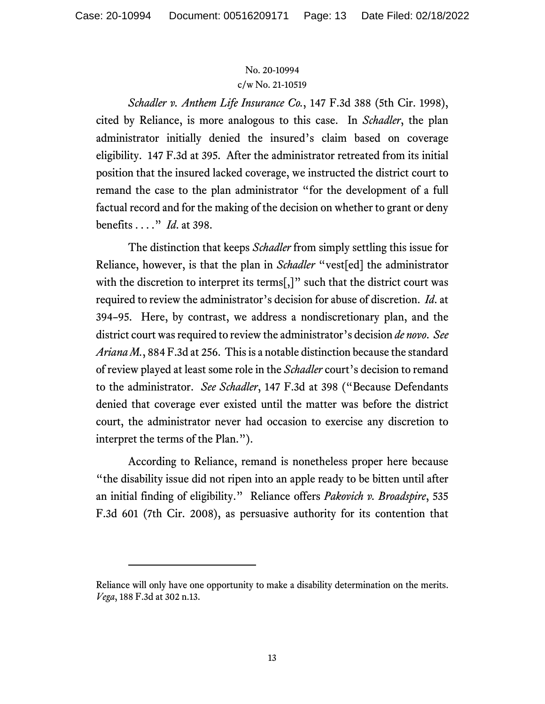### No. 20-10994

#### c/w No. 21-10519

*Schadler v. Anthem Life Insurance Co.*, 147 F.3d 388 (5th Cir. 1998), cited by Reliance, is more analogous to this case. In *Schadler*, the plan administrator initially denied the insured's claim based on coverage eligibility. 147 F.3d at 395. After the administrator retreated from its initial position that the insured lacked coverage, we instructed the district court to remand the case to the plan administrator "for the development of a full factual record and for the making of the decision on whether to grant or deny benefits . . . ." *Id*. at 398.

The distinction that keeps *Schadler* from simply settling this issue for Reliance, however, is that the plan in *Schadler* "vest[ed] the administrator with the discretion to interpret its terms[,]" such that the district court was required to review the administrator's decision for abuse of discretion. *Id*. at 394–95. Here, by contrast, we address a nondiscretionary plan, and the district court was required to review the administrator's decision *de novo*. *See Ariana M.*, 884 F.3d at 256. This is a notable distinction because the standard of review played at least some role in the *Schadler* court's decision to remand to the administrator. *See Schadler*, 147 F.3d at 398 ("Because Defendants denied that coverage ever existed until the matter was before the district court, the administrator never had occasion to exercise any discretion to interpret the terms of the Plan.").

According to Reliance, remand is nonetheless proper here because "the disability issue did not ripen into an apple ready to be bitten until after an initial finding of eligibility." Reliance offers *Pakovich v. Broadspire*, 535 F.3d 601 (7th Cir. 2008), as persuasive authority for its contention that

Reliance will only have one opportunity to make a disability determination on the merits. *Vega*, 188 F.3d at 302 n.13.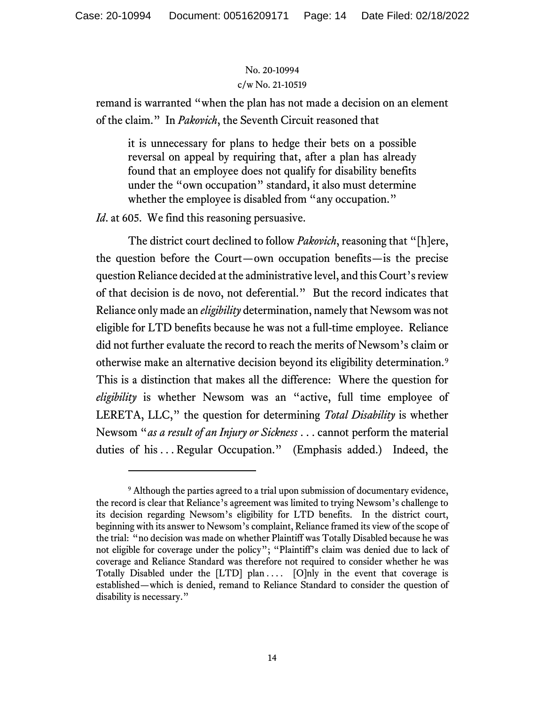remand is warranted "when the plan has not made a decision on an element of the claim." In *Pakovich*, the Seventh Circuit reasoned that

it is unnecessary for plans to hedge their bets on a possible reversal on appeal by requiring that, after a plan has already found that an employee does not qualify for disability benefits under the "own occupation" standard, it also must determine whether the employee is disabled from "any occupation."

*Id.* at 605. We find this reasoning persuasive.

The district court declined to follow *Pakovich*, reasoning that "[h]ere, the question before the Court—own occupation benefits—is the precise question Reliance decided at the administrative level, and this Court's review of that decision is de novo, not deferential." But the record indicates that Reliance only made an *eligibility* determination, namely that Newsom was not eligible for LTD benefits because he was not a full-time employee. Reliance did not further evaluate the record to reach the merits of Newsom's claim or otherwise make an alternative decision beyond its eligibility determination.[9](#page-13-0) This is a distinction that makes all the difference: Where the question for *eligibility* is whether Newsom was an "active, full time employee of LERETA, LLC," the question for determining *Total Disability* is whether Newsom "*as a result of an Injury or Sickness* . . . cannot perform the material duties of his ... Regular Occupation." (Emphasis added.) Indeed, the

<span id="page-13-0"></span><sup>&</sup>lt;sup>9</sup> Although the parties agreed to a trial upon submission of documentary evidence, the record is clear that Reliance's agreement was limited to trying Newsom's challenge to its decision regarding Newsom's eligibility for LTD benefits. In the district court, beginning with its answer to Newsom's complaint, Reliance framed its view of the scope of the trial: "no decision was made on whether Plaintiff was Totally Disabled because he was not eligible for coverage under the policy"; "Plaintiff's claim was denied due to lack of coverage and Reliance Standard was therefore not required to consider whether he was Totally Disabled under the [LTD] plan .... [O]nly in the event that coverage is established—which is denied, remand to Reliance Standard to consider the question of disability is necessary."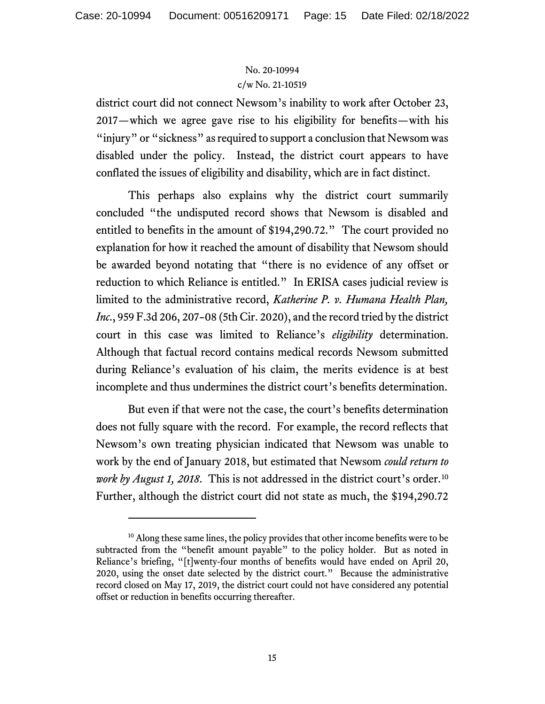district court did not connect Newsom's inability to work after October 23, 2017—which we agree gave rise to his eligibility for benefits—with his "injury" or "sickness" as required to support a conclusion that Newsom was disabled under the policy. Instead, the district court appears to have conflated the issues of eligibility and disability, which are in fact distinct.

This perhaps also explains why the district court summarily concluded "the undisputed record shows that Newsom is disabled and entitled to benefits in the amount of \$194,290.72." The court provided no explanation for how it reached the amount of disability that Newsom should be awarded beyond notating that "there is no evidence of any offset or reduction to which Reliance is entitled." In ERISA cases judicial review is limited to the administrative record, *Katherine P. v. Humana Health Plan, Inc*., 959 F.3d 206, 207–08 (5th Cir. 2020), and the record tried by the district court in this case was limited to Reliance's *eligibility* determination. Although that factual record contains medical records Newsom submitted during Reliance's evaluation of his claim, the merits evidence is at best incomplete and thus undermines the district court's benefits determination.

But even if that were not the case, the court's benefits determination does not fully square with the record. For example, the record reflects that Newsom's own treating physician indicated that Newsom was unable to work by the end of January 2018, but estimated that Newsom *could return to work by August 1, 2018*. This is not addressed in the district court's order. [10](#page-14-0) Further, although the district court did not state as much, the \$194,290.72

<span id="page-14-0"></span><sup>&</sup>lt;sup>10</sup> Along these same lines, the policy provides that other income benefits were to be subtracted from the "benefit amount payable" to the policy holder. But as noted in Reliance's briefing, "[t]wenty-four months of benefits would have ended on April 20, 2020, using the onset date selected by the district court." Because the administrative record closed on May 17, 2019, the district court could not have considered any potential offset or reduction in benefits occurring thereafter.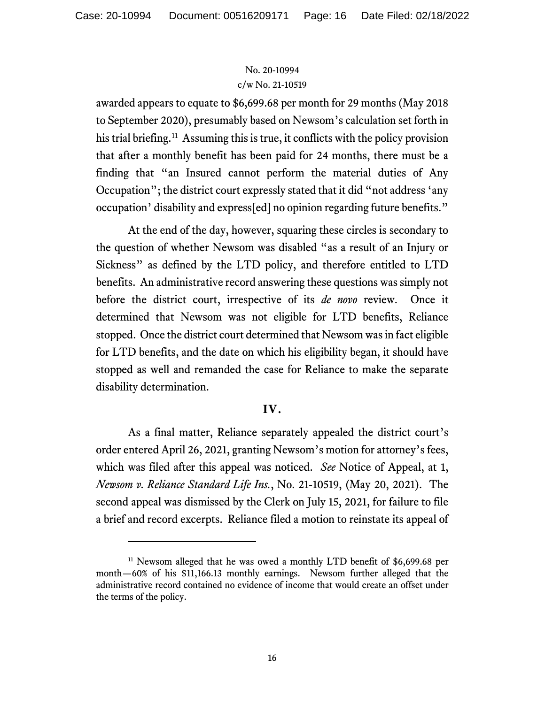awarded appears to equate to \$6,699.68 per month for 29 months (May 2018 to September 2020), presumably based on Newsom's calculation set forth in his trial briefing.<sup>11</sup> Assuming this is true, it conflicts with the policy provision that after a monthly benefit has been paid for 24 months, there must be a finding that "an Insured cannot perform the material duties of Any Occupation"; the district court expressly stated that it did "not address 'any occupation' disability and express[ed] no opinion regarding future benefits."

At the end of the day, however, squaring these circles is secondary to the question of whether Newsom was disabled "as a result of an Injury or Sickness" as defined by the LTD policy, and therefore entitled to LTD benefits. An administrative record answering these questions was simply not before the district court, irrespective of its *de novo* review. Once it determined that Newsom was not eligible for LTD benefits, Reliance stopped. Once the district court determined that Newsom was in fact eligible for LTD benefits, and the date on which his eligibility began, it should have stopped as well and remanded the case for Reliance to make the separate disability determination.

### **IV.**

As a final matter, Reliance separately appealed the district court's order entered April 26, 2021, granting Newsom's motion for attorney's fees, which was filed after this appeal was noticed. *See* Notice of Appeal, at 1, *Newsom v. Reliance Standard Life Ins.*, No. 21-10519, (May 20, 2021). The second appeal was dismissed by the Clerk on July 15, 2021, for failure to file a brief and record excerpts. Reliance filed a motion to reinstate its appeal of

<span id="page-15-0"></span><sup>&</sup>lt;sup>11</sup> Newsom alleged that he was owed a monthly LTD benefit of  $$6,699.68$  per month—60% of his \$11,166.13 monthly earnings. Newsom further alleged that the administrative record contained no evidence of income that would create an offset under the terms of the policy.